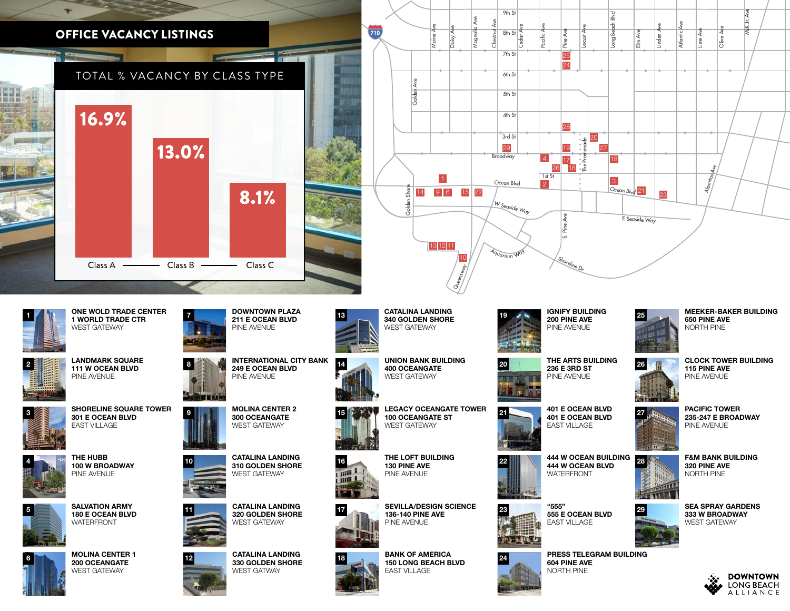